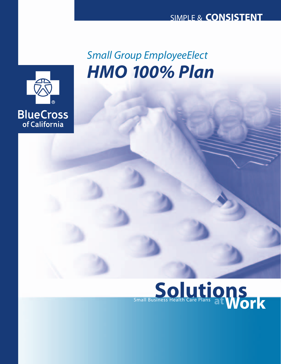

# *HMO 100% Plan Small Group EmployeeElect*

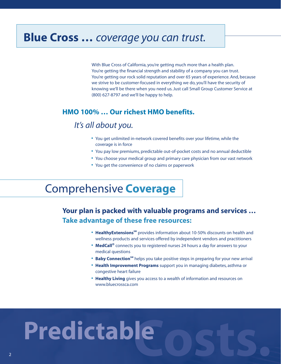# **Blue Cross …** *coverage you can trust.*

With Blue Cross of California, you're getting much more than a health plan. You're getting the financial strength and stability of a company you can trust. You're getting our rock solid reputation and over 65 years of experience. And, because we strive to be customer-focused in everything we do, you'll have the security of knowing we'll be there when you need us. Just call Small Group Customer Service at (800) 627-8797 and we'll be happy to help.

#### **HMO 100% … Our richest HMO benefits.**

## *It's all about you.*

- **•** You get unlimited in-network covered benefits over your lifetime, while the coverage is in force
- **•** You pay low premiums, predictable out-of-pocket costs and no annual deductible
- **•** You choose your medical group and primary care physician from our vast network
- **•** You get the convenience of no claims or paperwork

# Comprehensive **Coverage**

## **Your plan is packed with valuable programs and services … Take advantage of these free resources:**

- Healthy Extensions<sup>SM</sup> provides information about 10-50% discounts on health and wellness products and services offered by independent vendors and practitioners
- **• MedCall®** connects you to registered nurses 24 hours a day for answers to your medical questions
- **Baby Connection<sup>sM</sup>** helps you take positive steps in preparing for your new arrival
- **• Health Improvement Programs** support you in managing diabetes, asthma or congestive heart failure
- **• Healthy Living** gives you access to a wealth of information and resources on www.bluecrossca.com

# **Costs. Predictable**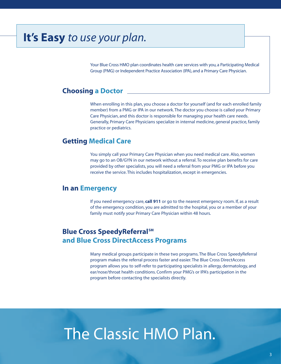# **It's Easy** *to use your plan.*

Your Blue Cross HMO plan coordinates health care services with you, a Participating Medical Group (PMG) or Independent Practice Association (IPA), and a Primary Care Physician.

#### **Choosing a Doctor**

When enrolling in this plan, you choose a doctor for yourself (and for each enrolled family member) from a PMG or IPA in our network. The doctor you choose is called your Primary Care Physician, and this doctor is responsible for managing your health care needs. Generally, Primary Care Physicians specialize in internal medicine, general practice, family practice or pediatrics.

#### **Getting Medical Care**

You simply call your Primary Care Physician when you need medical care. Also, women may go to an OB/GYN in our network without a referral. To receive plan benefits for care provided by other specialists, you will need a referral from your PMG or IPA before you receive the service. This includes hospitalization, except in emergencies.

#### **In an Emergency**

If you need emergency care, **call 911** or go to the nearest emergency room. If, as a result of the emergency condition, you are admitted to the hospital, you or a member of your family must notify your Primary Care Physician within 48 hours.

#### **Blue Cross SpeedyReferral**SM **and Blue Cross DirectAccess Programs**

Many medical groups participate in these two programs. The Blue Cross SpeedyReferral program makes the referral process faster and easier. The Blue Cross DirectAccess program allows you to self-refer to participating specialists in allergy, dermatology, and ear/nose/throat health conditions. Confirm your PMG's or IPA's participation in the program before contacting the specialists directly.

# **s.** The Classic HMO Plan.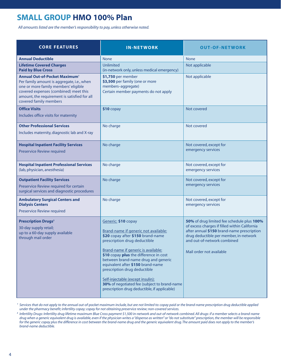# **SMALL GROUP HMO 100% Plan**

*All amounts listed are the member's responsibility to pay, unless otherwise noted.*

| <b>CORE FEATURES</b>                                                                                                                                                                                                                          | <b>IN-NETWORK</b>                                                                                                                                                                                                                                                                                                                                                                                                                                                  | <b>OUT-OF-NETWORK</b>                                                                                                                                                                                                                          |
|-----------------------------------------------------------------------------------------------------------------------------------------------------------------------------------------------------------------------------------------------|--------------------------------------------------------------------------------------------------------------------------------------------------------------------------------------------------------------------------------------------------------------------------------------------------------------------------------------------------------------------------------------------------------------------------------------------------------------------|------------------------------------------------------------------------------------------------------------------------------------------------------------------------------------------------------------------------------------------------|
| <b>Annual Deductible</b>                                                                                                                                                                                                                      | <b>None</b>                                                                                                                                                                                                                                                                                                                                                                                                                                                        | <b>None</b>                                                                                                                                                                                                                                    |
| <b>Lifetime Covered Charges</b><br><b>Paid by Blue Cross</b>                                                                                                                                                                                  | Unlimited<br>(in-network only, unless medical emergency)                                                                                                                                                                                                                                                                                                                                                                                                           | Not applicable                                                                                                                                                                                                                                 |
| <b>Annual Out-of-Pocket Maximum1</b><br>Per family amount is aggregate, i.e., when<br>one or more family members' eligible<br>covered expenses (combined) meet this<br>amount, the requirement is satisfied for all<br>covered family members | \$1,750 per member<br>\$3,500 per family (one or more<br>members-aggregate)<br>Certain member payments do not apply                                                                                                                                                                                                                                                                                                                                                | Not applicable                                                                                                                                                                                                                                 |
| <b>Office Visits</b><br>Includes office visits for maternity                                                                                                                                                                                  | \$10 copay                                                                                                                                                                                                                                                                                                                                                                                                                                                         | Not covered                                                                                                                                                                                                                                    |
| <b>Other Professional Services</b><br>Includes maternity, diagnostic lab and X-ray                                                                                                                                                            | No charge                                                                                                                                                                                                                                                                                                                                                                                                                                                          | Not covered                                                                                                                                                                                                                                    |
| <b>Hospital Inpatient Facility Services</b><br><b>Preservice Review required</b>                                                                                                                                                              | No charge                                                                                                                                                                                                                                                                                                                                                                                                                                                          | Not covered, except for<br>emergency services                                                                                                                                                                                                  |
| <b>Hospital Inpatient Professional Services</b><br>(lab, physician, anesthesia)                                                                                                                                                               | No charge                                                                                                                                                                                                                                                                                                                                                                                                                                                          | Not covered, except for<br>emergency services                                                                                                                                                                                                  |
| <b>Outpatient Facility Services</b><br>Preservice Review required for certain<br>surgical services and diagnostic procedures                                                                                                                  | No charge                                                                                                                                                                                                                                                                                                                                                                                                                                                          | Not covered, except for<br>emergency services                                                                                                                                                                                                  |
| <b>Ambulatory Surgical Centers and</b><br><b>Dialysis Centers</b><br>Preservice Review required                                                                                                                                               | No charge                                                                                                                                                                                                                                                                                                                                                                                                                                                          | Not covered, except for<br>emergency services                                                                                                                                                                                                  |
| <b>Prescription Drugs<sup>2</sup></b><br>30-day supply retail;<br>up to a 60-day supply available<br>through mail order                                                                                                                       | Generic: \$10 copay<br>Brand-name if generic not available:<br>\$20 copay after \$150 brand-name<br>prescription drug deductible<br>Brand-name if generic is available:<br>\$10 copay plus the difference in cost<br>between brand-name drug and generic<br>equivalent after \$150 brand-name<br>prescription drug deductible<br>Self-injectable (except insulin):<br>30% of negotiated fee (subject to brand-name<br>prescription drug deductible, if applicable) | 50% of drug limited fee schedule plus 100%<br>of excess charges if filled within California<br>after annual \$150 brand-name prescription<br>drug deductible per member, in-network<br>and out-of-network combined<br>Mail order not available |

<sup>1</sup> Services that do not apply to the annual out-of-pocket maximum include, but are not limited to: copay paid or the brand-name prescription drug deductible applied *under the pharmacy benefit; infertility copay; copay for not obtaining preservice review; non-covered services.*

<sup>2</sup> Infertility Drugs: Infertility drug lifetime maximum Blue Cross payment \$1,500 in-network and out-of-network combined. All drugs: if a member selects a brand-name *drug when a generic equivalent drug is available, even if the physician writes a "dispense as written" or "do not substitute" prescription, the member will be responsible for the generic copay plus the difference in cost between the brand-name drug and the generic equivalent drug. The amount paid does not apply to the member's brand-name deductible.*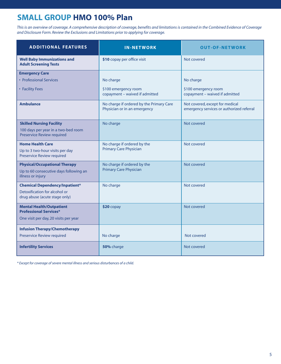# **SMALL GROUP HMO 100% Plan**

*This is an overview of coverage. A comprehensive description of coverage, benefits and limitations is contained in the Combined Evidence of Coverage and Disclosure Form. Review the Exclusions and Limitations prior to applying for coverage.*

| <b>ADDITIONAL FEATURES</b>                                                                                | <b>IN-NETWORK</b>                                                        | <b>OUT-OF-NETWORK</b>                                                        |
|-----------------------------------------------------------------------------------------------------------|--------------------------------------------------------------------------|------------------------------------------------------------------------------|
| <b>Well Baby Immunizations and</b><br><b>Adult Screening Tests</b>                                        | \$10 copay per office visit                                              | Not covered                                                                  |
| <b>Emergency Care</b>                                                                                     |                                                                          |                                                                              |
| • Professional Services                                                                                   | No charge                                                                | No charge                                                                    |
| • Facility Fees                                                                                           | \$100 emergency room<br>copayment - waived if admitted                   | \$100 emergency room<br>copayment - waived if admitted                       |
| <b>Ambulance</b>                                                                                          | No charge if ordered by the Primary Care<br>Physician or in an emergency | Not covered, except for medical<br>emergency services or authorized referral |
| <b>Skilled Nursing Facility</b><br>100 days per year in a two-bed room<br>Preservice Review required      | No charge                                                                | Not covered                                                                  |
| <b>Home Health Care</b><br>Up to 3 two-hour visits per day<br>Preservice Review required                  | No charge if ordered by the<br><b>Primary Care Physician</b>             | Not covered                                                                  |
| <b>Physical/Occupational Therapy</b><br>Up to 60 consecutive days following an<br>illness or injury       | No charge if ordered by the<br><b>Primary Care Physician</b>             | Not covered                                                                  |
| <b>Chemical Dependency/Inpatient*</b><br>Detoxification for alcohol or<br>drug abuse (acute stage only)   | No charge                                                                | Not covered                                                                  |
| <b>Mental Health/Outpatient</b><br><b>Professional Services*</b><br>One visit per day, 20 visits per year | $$20$ copay                                                              | Not covered                                                                  |
| <b>Infusion Therapy/Chemotherapy</b>                                                                      |                                                                          |                                                                              |
| Preservice Review required                                                                                | No charge                                                                | Not covered                                                                  |
| <b>Infertility Services</b>                                                                               | 50% charge                                                               | Not covered                                                                  |

*\* Except for coverage of severe mental illness and serious disturbances of a child.*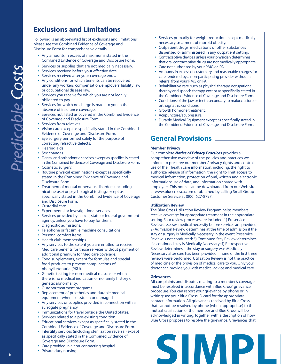## **Exclusions and Limitations**

Following is an abbreviated list of exclusions and limitations; please see the Combined Evidence of Coverage and Disclosure Form for comprehensive details.

- **•** Any amounts in excess of maximums stated in the Combined Evidence of Coverage and Disclosure Form.
- **•** Services or supplies that are not medically necessary.
- **•** Services received before your effective date.
- **•** Services received after your coverage ends.
- **•** Any conditions for which benefits can be recovered under any workers' compensation, employers' liability law or occupational disease law.
- **•** Services you receive for which you are not legally obligated to pay.
- **•** Services for which no charge is made to you in the absence of insurance coverage.
- **•** Services not listed as covered in the Combined Evidence of Coverage and Disclosure Form.
- **•** Services from relatives.
- **•** Vision care except as specifically stated in the Combined Evidence of Coverage and Disclosure Form.
- **•** Eye surgery performed solely for the purpose of correcting refractive defects.
- **•** Hearing aids
- **•** Sex changes.
- **•** Dental and orthodontic services except as specifically stated in the Combined Evidence of Coverage and Disclosure Form.
- **•** Cosmetic surgery.
- **•** Routine physical examinations except as specifically stated in the Combined Evidence of Coverage and Disclosure Form.
- **•** Treatment of mental or nervous disorders (including nicotine use) or psychological testing, except as specifically stated in the Combined Evidence of Coverage and Disclosure Form.
- **•** Custodial care.
- **•** Experimental or investigational services.
- **•** Services provided by a local, state or federal government agency, unless you have to pay for them.
- **•** Diagnostic admissions.
- **•** Telephone or facsimile machine consultations.
- **•** Personal comfort items.
- **•** Health club memberships.
- **•** Any services to the extent you are entitled to receive Medicare benefits for those services without payment of additional premium for Medicare coverage.
- **•** Food supplements, except for formulas and special food products to prevent complications of phenylketonuria (PKU).
- **•** Genetic testing for non-medical reasons or when there is no medical indication or no family history of genetic abnormality.
- **•** Outdoor treatment programs.
- **•** Replacement of prosthetics and durable medical equipment when lost, stolen or damaged.
- **•** Any services or supplies provided in connection with a surrogate pregnancy.
- **•** Immunizations for travel outside the United States.
- **•** Services related to a pre-existing condition.
- **•** Educational services except as specifically stated in the Combined Evidence of Coverage and Disclosure Form.
- **•** Infertility services (including sterilization reversal) except as specifically stated in the Combined Evidence of Coverage and Disclosure Form.
- **•** Care provided in a non-contracting hospital.
- **•** Private duty nursing.
- **•** Services primarily for weight reduction except medically necessary treatment of morbid obesity.
- **•** Outpatient drugs, medications or other substances dispensed or administered in any outpatient setting.
- **•** Contraceptive devices unless your physician determines that oral contraceptive drugs are not medically appropriate.
- **•** Care not authorized by your PMG or IPA.
- **•** Amounts in excess of customary and reasonable charges for care rendered by a non-participating provider without a referral from your PMG or IPA.
- **•** Rehabilitative care, such as physical therapy, occupational therapy and speech therapy, except as specifically stated in the Combined Evidence of Coverage and Disclosure Form.
- **•** Conditions of the jaw or teeth secondary to malocclusion or orthognathic conditions.
- **•** Growth hormone treatment.
- **•** Acupuncture/acupressure.
- **•** Durable Medical Equipment except as specifically stated in the Combined Evidence of Coverage and Disclosure Form.

### **General Provisions**

#### **Member Privacy**

Our complete *Notice of Privacy Practices* provides a comprehensive overview of the policies and practices we enforce to preserve our members' privacy rights and control use of their health care information, including: the right to authorize release of information; the right to limit access to medical information; protection of oral, written and electronic information; use of data; and information shared with employers. This notice can be downloaded from our Web site at www.bluecrossca.com or obtained by calling Small Group Customer Service at (800) 627-8797.

#### **Utilization Review**

The Blue Cross Utilization Review Program helps members receive coverage for appropriate treatment in the appropriate setting. Four review processes are included: 1) Preservice Review assesses medical necessity before services are provided; 2) Admission Review determines at the time of admission if the stay or surgery is Medically Necessary in the event Preservice Review is not conducted; 3) Continued Stay Review determines if a continued stay is Medically Necessary; 4) Retrospective Review determines if the stay or surgery was Medically Necessary after care has been provided if none of the first three reviews were performed. Utilization Review is not the practice of medicine or the provision of medical care to you. Only your doctor can provide you with medical advice and medical care.

#### **Grievances**

All complaints and disputes relating to a member's coverage must be resolved in accordance with Blue Cross' grievance procedure. You can report your grievance by phone or in writing; see your Blue Cross ID card for the appropriate contact information. All grievances received by Blue Cross that cannot be resolved by phone (when appropriate) to the mutual satisfaction of the member and Blue Cross will be acknowledged in writing, together with a description of how Blue Cross proposes to resolve the grievance. Grievances that

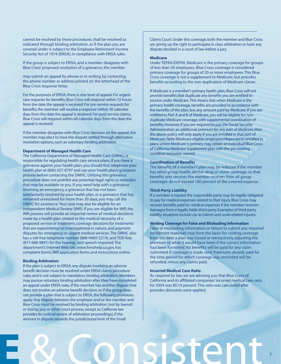cannot be resolved by these procedures shall be resolved as indicated through binding arbitration, or if the plan you are covered under is subject to the Employee Retirement Income Security Act of 1974 (ERISA), in compliance with ERISA rules.

If the group is subject to ERISA, and a member disagrees with Blue Cross' proposed resolution of a grievance, the member

may submit an appeal by phone or in writing, by contacting the phone number or address printed on the letterhead of the Blue Cross response letter.

For the purposes of ERISA, there is one level of appeal. For urgent care requests for benefits, Blue Cross will respond within 72 hours from the date the appeal is received. For pre-service requests for benefits, the member will receive a response within 30 calendar days from the date the appeal is received. For post-service claims, Blue Cross will respond within 60 calendar days from the date the appeal is received.

If the member disagrees with Blue Cross' decision on the appeal, the member may elect to have the dispute settled through alternative resolution options, such as voluntary binding arbitration.

#### **Department of Managed Health Care**

The California Department of Managed Health Care (DMHC) is responsible for regulating health care service plans. If you have a grievance against your health plan, you should first telephone your health plan at (800) 627-8797 and use your health plan's grievance process before contacting the DMHC. Utilizing this grievance procedure does not prohibit any potential legal rights or remedies that may be available to you. If you need help with a grievance involving an emergency, a grievance that has not been satisfactorily resolved by your health plan, or a grievance that has remained unresolved for more than 30 days, you may call the DMHC for assistance.Your case may also be eligible for an Independent Medical Review (IMR). If you are eligible for IMR, the IMR process will provide an impartial review of medical decisions made by a health plan related to the medical necessity of a proposed service or treatment, coverage decisions for treatments that are experimental or investigational in nature, and payment disputes for emergency or urgent medical services. The DMHC also has a toll-free telephone number (888-HMO-2219), and TDD line (877-688-9891) for the hearing- and speech-impaired. The department's Internet Web site, www.hmohelp.ca.gov, has complaint forms, IMR application forms and instructions online.

#### **Binding Arbitration**

If the plan is subject to ERISA, any dispute involving an adverse benefit decision must be resolved under ERISA claims procedure rules, and is not subject to mandatory binding arbitration. Members may pursue voluntary binding arbitration after they have completed an appeal under ERISA rules. If the member has another dispute that does not involve an adverse benefit decision, or if the group does not provide a plan that is subject to ERISA, the following provisions apply: Any dispute between the employer and/or the member and Blue Cross must be resolved by binding arbitration (not by lawsuit or trial by jury or other court process, except as California law provides for judicial review of arbitration proceedings), if the amount in dispute exceeds the jurisdictional limit of the Small

Claims Court. Under this coverage, both the member and Blue Cross are giving up the right to participate in class arbitration or have any dispute decided in a court of law before a jury.

#### **Medicare**

Under TEFRA/DEFRA, Medicare is the primary coverage for groups of less than 20 employees. Blue Cross coverage is considered primary coverage for groups of 20 or more employees. This Blue Cross coverage is not a supplement to Medicare, but provides benefits according to the non-duplication of Medicare clause.

If Medicare is a member's primary health plan, Blue Cross will not provide benefits that duplicate any benefits you are entitled to receive under Medicare.This means that when Medicare is the primary health coverage, benefits are provided in accordance with the benefits of the plan, less any amount paid by Medicare. If you are entitled to Part A and B of Medicare, you will be eligible for nonduplicate Medicare coverage, with supplemental coordination of benefits. However, if you are required to pay the Social Security Administration an additional premium for any part of Medicare, then the above policy will only apply if you are enrolled in that part of Medicare. Note: Medicare-eligible employees/dependents enrolled in plans where Medicare is primary may obtain an Individual Blue Cross of California Medicare Supplement plan with the pre-existing condition exclusion waived.

#### **Coordination of Benefits**

The benefits of a member's plan may be reduced if the member has other group health, dental, drug or vision coverage, so that benefits and services the member receives from all group coverages do not exceed 100 percent of the covered expense.

#### **Third-Party Liability**

If a member is injured, the responsible party may be legally obligated to pay for medical expenses related to that injury. Blue Cross may recover benefits paid for medical expenses if the member recovers damages from a legally liable third-party. Examples of third-party liability situations include car accidents and work-related injuries.

#### **Voiding Coverage for False and Misleading Information**

False or misleading information or failure to submit any required enrollment materials may form the basis for voiding coverage from the date a plan was issued or retroactively adjusting the premium to what it would have been if the correct information had been furnished. No benefits will be paid for any claim submitted if coverage is made void. Premiums already paid for the time period for which coverage was rescinded will be refunded, minus any claims paid.

#### **Incurred Medical Care Ratio**

As required by law, we are advising you that Blue Cross of California and its affiliated companies' incurred medical care ratio for 2004 was 80.14 percent. This ratio was calculated after provider discounts were applied.

7

# **LE** & Consistent